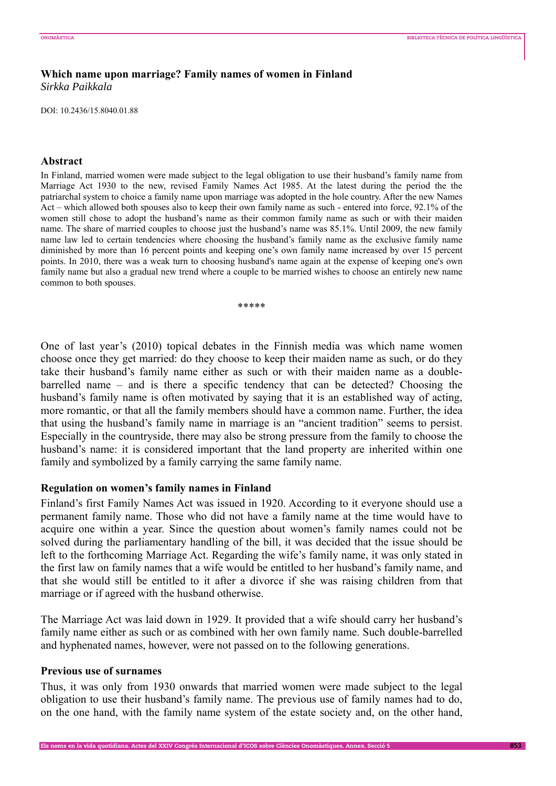# **Which name upon marriage? Family names of women in Finland**  *Sirkka Paikkala*

DOI: 10.2436/15.8040.01.88

## **Abstract**

In Finland, married women were made subject to the legal obligation to use their husband's family name from Marriage Act 1930 to the new, revised Family Names Act 1985. At the latest during the period the the patriarchal system to choice a family name upon marriage was adopted in the hole country. After the new Names Act – which allowed both spouses also to keep their own family name as such - entered into force, 92.1% of the women still chose to adopt the husband's name as their common family name as such or with their maiden name. The share of married couples to choose just the husband's name was 85.1%. Until 2009, the new family name law led to certain tendencies where choosing the husband's family name as the exclusive family name diminished by more than 16 percent points and keeping one's own family name increased by over 15 percent points. In 2010, there was a weak turn to choosing husband's name again at the expense of keeping one's own family name but also a gradual new trend where a couple to be married wishes to choose an entirely new name common to both spouses.

\*\*\*\*\*

One of last year's (2010) topical debates in the Finnish media was which name women choose once they get married: do they choose to keep their maiden name as such, or do they take their husband's family name either as such or with their maiden name as a doublebarrelled name – and is there a specific tendency that can be detected? Choosing the husband's family name is often motivated by saying that it is an established way of acting, more romantic, or that all the family members should have a common name. Further, the idea that using the husband's family name in marriage is an "ancient tradition" seems to persist. Especially in the countryside, there may also be strong pressure from the family to choose the husband's name: it is considered important that the land property are inherited within one family and symbolized by a family carrying the same family name.

## **Regulation on women's family names in Finland**

Finland's first Family Names Act was issued in 1920. According to it everyone should use a permanent family name. Those who did not have a family name at the time would have to acquire one within a year. Since the question about women's family names could not be solved during the parliamentary handling of the bill, it was decided that the issue should be left to the forthcoming Marriage Act. Regarding the wife's family name, it was only stated in the first law on family names that a wife would be entitled to her husband's family name, and that she would still be entitled to it after a divorce if she was raising children from that marriage or if agreed with the husband otherwise.

The Marriage Act was laid down in 1929. It provided that a wife should carry her husband's family name either as such or as combined with her own family name. Such double-barrelled and hyphenated names, however, were not passed on to the following generations.

## **Previous use of surnames**

Thus, it was only from 1930 onwards that married women were made subject to the legal obligation to use their husband's family name. The previous use of family names had to do, on the one hand, with the family name system of the estate society and, on the other hand,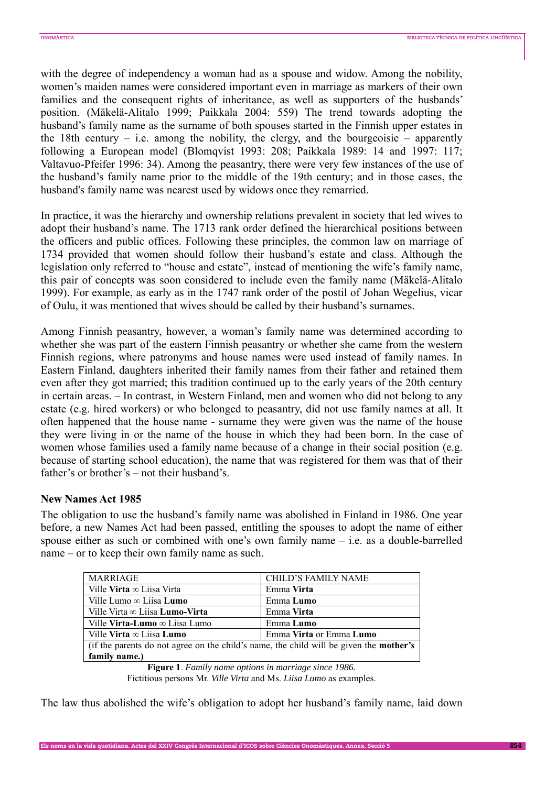with the degree of independency a woman had as a spouse and widow. Among the nobility, women's maiden names were considered important even in marriage as markers of their own families and the consequent rights of inheritance, as well as supporters of the husbands' position. (Mäkelä-Alitalo 1999; Paikkala 2004: 559) The trend towards adopting the husband's family name as the surname of both spouses started in the Finnish upper estates in the 18th century – i.e. among the nobility, the clergy, and the bourgeoisie – apparently following a European model (Blomqvist 1993: 208; Paikkala 1989: 14 and 1997: 117; Valtavuo-Pfeifer 1996: 34). Among the peasantry, there were very few instances of the use of the husband's family name prior to the middle of the 19th century; and in those cases, the husband's family name was nearest used by widows once they remarried.

In practice, it was the hierarchy and ownership relations prevalent in society that led wives to adopt their husband's name. The 1713 rank order defined the hierarchical positions between the officers and public offices. Following these principles, the common law on marriage of 1734 provided that women should follow their husband's estate and class. Although the legislation only referred to "house and estate", instead of mentioning the wife's family name, this pair of concepts was soon considered to include even the family name (Mäkelä-Alitalo 1999). For example, as early as in the 1747 rank order of the postil of Johan Wegelius, vicar of Oulu, it was mentioned that wives should be called by their husband's surnames.

Among Finnish peasantry, however, a woman's family name was determined according to whether she was part of the eastern Finnish peasantry or whether she came from the western Finnish regions, where patronyms and house names were used instead of family names. In Eastern Finland, daughters inherited their family names from their father and retained them even after they got married; this tradition continued up to the early years of the 20th century in certain areas. – In contrast, in Western Finland, men and women who did not belong to any estate (e.g. hired workers) or who belonged to peasantry, did not use family names at all. It often happened that the house name - surname they were given was the name of the house they were living in or the name of the house in which they had been born. In the case of women whose families used a family name because of a change in their social position (e.g. because of starting school education), the name that was registered for them was that of their father's or brother's – not their husband's.

## **New Names Act 1985**

The obligation to use the husband's family name was abolished in Finland in 1986. One year before, a new Names Act had been passed, entitling the spouses to adopt the name of either spouse either as such or combined with one's own family name – i.e. as a double-barrelled name – or to keep their own family name as such.

| MARRIAGE                                                                                      | CHILD'S FAMILY NAME     |
|-----------------------------------------------------------------------------------------------|-------------------------|
| Ville Virta $\infty$ Liisa Virta                                                              | Emma Virta              |
| Ville Lumo $\infty$ Liisa Lumo                                                                | Emma Lumo               |
| Ville Virta $\infty$ Liisa <b>Lumo-Virta</b>                                                  | Emma Virta              |
| Ville <b>Virta-Lumo</b> $\infty$ Liisa Lumo                                                   | Emma Lumo               |
| Ville Virta $\infty$ Liisa Lumo                                                               | Emma Virta or Emma Lumo |
| (if the parents do not agree on the child's name, the child will be given the <b>mother's</b> |                         |
| family name.)                                                                                 |                         |
| $\Gamma$ igura 1. Equily nome options in marriage since $1096$                                |                         |

**Figure 1**. *Family name options in marriage since 1986.*  Fictitious persons Mr. *Ville Virta* and Ms. *Liisa Lumo* as examples.

The law thus abolished the wife's obligation to adopt her husband's family name, laid down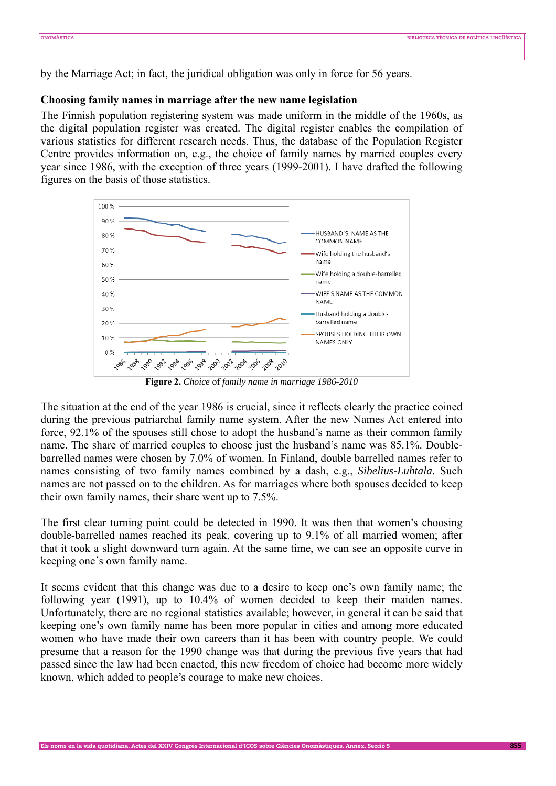by the Marriage Act; in fact, the juridical obligation was only in force for 56 years.

## **Choosing family names in marriage after the new name legislation**

The Finnish population registering system was made uniform in the middle of the 1960s, as the digital population register was created. The digital register enables the compilation of various statistics for different research needs. Thus, the database of the Population Register Centre provides information on, e.g., the choice of family names by married couples every year since 1986, with the exception of three years (1999-2001). I have drafted the following figures on the basis of those statistics.



**Figure 2.** *Choice* of *family name in marriage 1986-2010*

The situation at the end of the year 1986 is crucial, since it reflects clearly the practice coined during the previous patriarchal family name system. After the new Names Act entered into force, 92.1% of the spouses still chose to adopt the husband's name as their common family name. The share of married couples to choose just the husband's name was 85.1%. Doublebarrelled names were chosen by 7.0% of women. In Finland, double barrelled names refer to names consisting of two family names combined by a dash, e.g., *Sibelius-Luhtala*. Such names are not passed on to the children. As for marriages where both spouses decided to keep their own family names, their share went up to 7.5%.

The first clear turning point could be detected in 1990. It was then that women's choosing double-barrelled names reached its peak, covering up to 9.1% of all married women; after that it took a slight downward turn again. At the same time, we can see an opposite curve in keeping one´s own family name.

It seems evident that this change was due to a desire to keep one's own family name; the following year (1991), up to 10.4% of women decided to keep their maiden names. Unfortunately, there are no regional statistics available; however, in general it can be said that keeping one's own family name has been more popular in cities and among more educated women who have made their own careers than it has been with country people. We could presume that a reason for the 1990 change was that during the previous five years that had passed since the law had been enacted, this new freedom of choice had become more widely known, which added to people's courage to make new choices.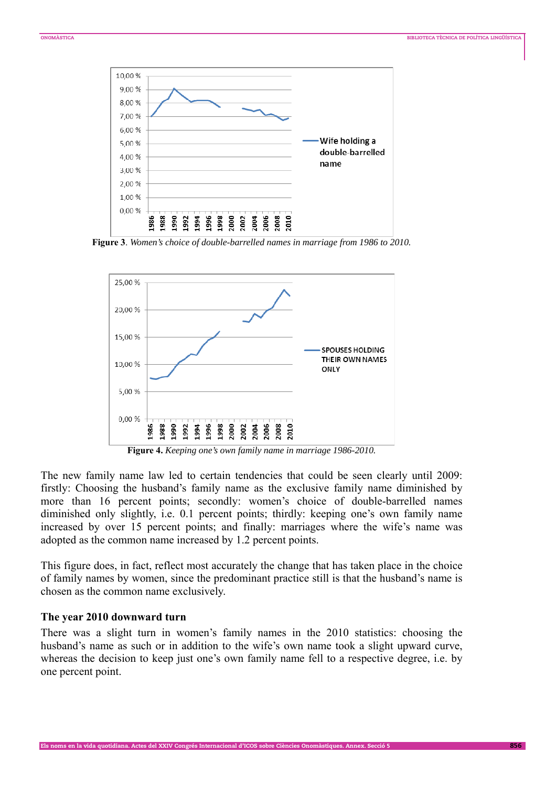

**Figure 3**. *Women's choice of double-barrelled names in marriage from 1986 to 2010.*



**Figure 4.** *Keeping one's own family name in marriage 1986-2010.*

The new family name law led to certain tendencies that could be seen clearly until 2009: firstly: Choosing the husband's family name as the exclusive family name diminished by more than 16 percent points; secondly: women's choice of double-barrelled names diminished only slightly, i.e. 0.1 percent points; thirdly: keeping one's own family name increased by over 15 percent points; and finally: marriages where the wife's name was adopted as the common name increased by 1.2 percent points.

This figure does, in fact, reflect most accurately the change that has taken place in the choice of family names by women, since the predominant practice still is that the husband's name is chosen as the common name exclusively.

#### **The year 2010 downward turn**

There was a slight turn in women's family names in the 2010 statistics: choosing the husband's name as such or in addition to the wife's own name took a slight upward curve, whereas the decision to keep just one's own family name fell to a respective degree, i.e. by one percent point.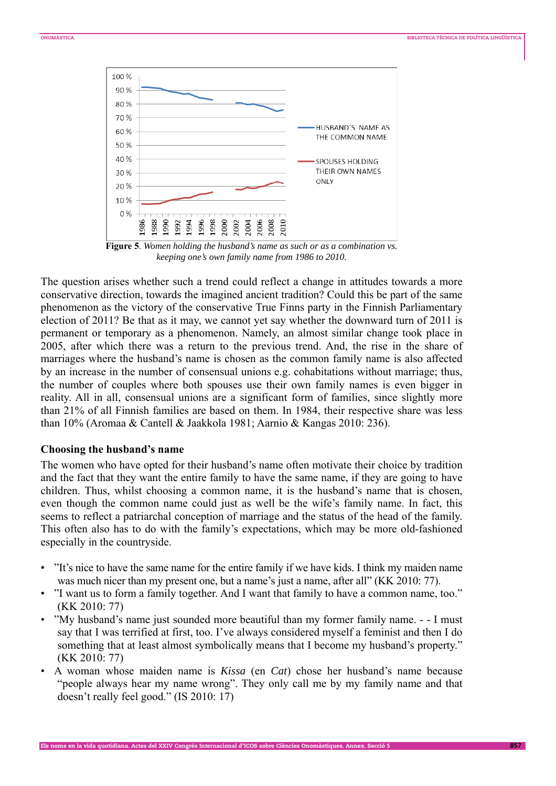

**Figure 5**. *Women holding the husband's name as such or as a combination vs. keeping one's own family name from 1986 to 2010.*

The question arises whether such a trend could reflect a change in attitudes towards a more conservative direction, towards the imagined ancient tradition? Could this be part of the same phenomenon as the victory of the conservative True Finns party in the Finnish Parliamentary election of 2011? Be that as it may, we cannot yet say whether the downward turn of 2011 is permanent or temporary as a phenomenon. Namely, an almost similar change took place in 2005, after which there was a return to the previous trend. And, the rise in the share of marriages where the husband's name is chosen as the common family name is also affected by an increase in the number of consensual unions e.g. cohabitations without marriage; thus, the number of couples where both spouses use their own family names is even bigger in reality. All in all, consensual unions are a significant form of families, since slightly more than 21% of all Finnish families are based on them. In 1984, their respective share was less than 10% (Aromaa & Cantell & Jaakkola 1981; Aarnio & Kangas 2010: 236).

#### **Choosing the husband's name**

The women who have opted for their husband's name often motivate their choice by tradition and the fact that they want the entire family to have the same name, if they are going to have children. Thus, whilst choosing a common name, it is the husband's name that is chosen, even though the common name could just as well be the wife's family name. In fact, this seems to reflect a patriarchal conception of marriage and the status of the head of the family. This often also has to do with the family's expectations, which may be more old-fashioned especially in the countryside.

- "It's nice to have the same name for the entire family if we have kids. I think my maiden name was much nicer than my present one, but a name's just a name, after all" (KK 2010: 77).
- "I want us to form a family together. And I want that family to have a common name, too." (KK 2010: 77)
- "My husband's name just sounded more beautiful than my former family name. - I must say that I was terrified at first, too. I've always considered myself a feminist and then I do something that at least almost symbolically means that I become my husband's property." (KK 2010: 77)
- A woman whose maiden name is *Kissa* (en *Cat*) chose her husband's name because "people always hear my name wrong". They only call me by my family name and that doesn't really feel good." (IS 2010: 17)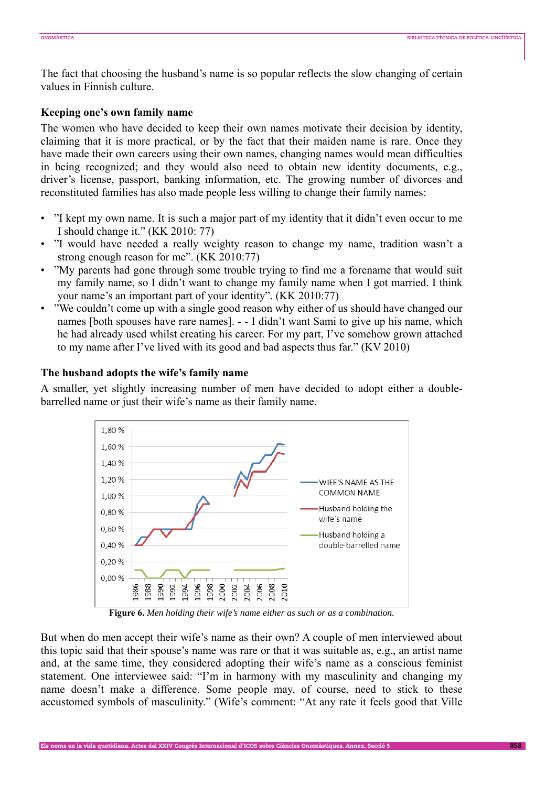The fact that choosing the husband's name is so popular reflects the slow changing of certain values in Finnish culture.

## **Keeping one's own family name**

The women who have decided to keep their own names motivate their decision by identity, claiming that it is more practical, or by the fact that their maiden name is rare. Once they have made their own careers using their own names, changing names would mean difficulties in being recognized; and they would also need to obtain new identity documents, e.g., driver's license, passport, banking information, etc. The growing number of divorces and reconstituted families has also made people less willing to change their family names:

- "I kept my own name. It is such a major part of my identity that it didn't even occur to me I should change it." (KK 2010: 77)
- "I would have needed a really weighty reason to change my name, tradition wasn't a strong enough reason for me". (KK 2010:77)
- "My parents had gone through some trouble trying to find me a forename that would suit my family name, so I didn't want to change my family name when I got married. I think your name's an important part of your identity". (KK 2010:77)
- "We couldn't come up with a single good reason why either of us should have changed our names [both spouses have rare names]. - - I didn't want Sami to give up his name, which he had already used whilst creating his career. For my part, I've somehow grown attached to my name after I've lived with its good and bad aspects thus far." (KV 2010)

# **The husband adopts the wife's family name**

A smaller, yet slightly increasing number of men have decided to adopt either a doublebarrelled name or just their wife's name as their family name.



**Figure 6.** *Men holding their wife's name either as such or as a combination.*

But when do men accept their wife's name as their own? A couple of men interviewed about this topic said that their spouse's name was rare or that it was suitable as, e.g., an artist name and, at the same time, they considered adopting their wife's name as a conscious feminist statement. One interviewee said: "I'm in harmony with my masculinity and changing my name doesn't make a difference. Some people may, of course, need to stick to these accustomed symbols of masculinity." (Wife's comment: "At any rate it feels good that Ville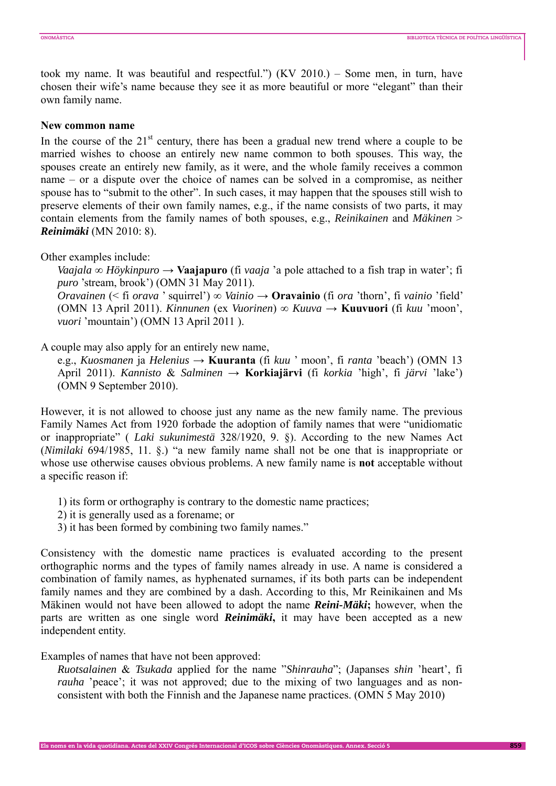took my name. It was beautiful and respectful.") (KV 2010.) – Some men, in turn, have chosen their wife's name because they see it as more beautiful or more "elegant" than their own family name.

### **New common name**

In the course of the  $21<sup>st</sup>$  century, there has been a gradual new trend where a couple to be married wishes to choose an entirely new name common to both spouses. This way, the spouses create an entirely new family, as it were, and the whole family receives a common name – or a dispute over the choice of names can be solved in a compromise, as neither spouse has to "submit to the other". In such cases, it may happen that the spouses still wish to preserve elements of their own family names, e.g., if the name consists of two parts, it may contain elements from the family names of both spouses, e.g., *Reinikainen* and *Mäkinen* > *Reinimäki* (MN 2010: 8).

Other examples include:

*Vaajala* **∞** *Höykinpuro* → **Vaajapuro** (fi *vaaja* 'a pole attached to a fish trap in water'; fi *puro* 'stream, brook') (OMN 31 May 2011).

*Oravainen* (< fi *orava* ' squirrel') ∞ *Vainio* → **Oravainio** (fi *ora* 'thorn', fi *vainio* 'field' (OMN 13 April 2011). *Kinnunen* (ex *Vuorinen*) ∞ *Kuuva* → **Kuuvuori** (fi *kuu* 'moon', *vuori* 'mountain') (OMN 13 April 2011 ).

A couple may also apply for an entirely new name,

e.g., *Kuosmanen* ja *Helenius* → **Kuuranta** (fi *kuu* ' moon', fi *ranta* 'beach') (OMN 13 April 2011). *Kannisto* & *Salminen* → **Korkiajärvi** (fi *korkia* 'high', fi *järvi* 'lake') (OMN 9 September 2010).

However, it is not allowed to choose just any name as the new family name. The previous Family Names Act from 1920 forbade the adoption of family names that were "unidiomatic or inappropriate" ( *Laki sukunimestä* 328/1920, 9. §). According to the new Names Act (*Nimilaki* 694/1985, 11. §.) "a new family name shall not be one that is inappropriate or whose use otherwise causes obvious problems. A new family name is **not** acceptable without a specific reason if:

- 1) its form or orthography is contrary to the domestic name practices;
- 2) it is generally used as a forename; or
- 3) it has been formed by combining two family names."

Consistency with the domestic name practices is evaluated according to the present orthographic norms and the types of family names already in use. A name is considered a combination of family names, as hyphenated surnames, if its both parts can be independent family names and they are combined by a dash. According to this, Mr Reinikainen and Ms Mäkinen would not have been allowed to adopt the name *Reini-Mäki***;** however, when the parts are written as one single word *Reinimäki***,** it may have been accepted as a new independent entity.

Examples of names that have not been approved:

*Ruotsalainen* & *Tsukada* applied for the name "*Shinrauha*"; (Japanses *shin* 'heart', fi *rauha* 'peace'; it was not approved; due to the mixing of two languages and as nonconsistent with both the Finnish and the Japanese name practices. (OMN 5 May 2010)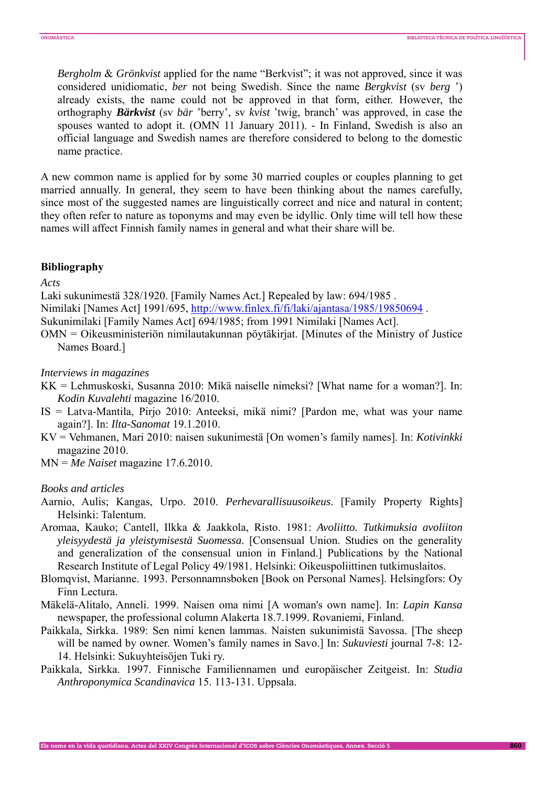*Bergholm* & *Grönkvist* applied for the name "Berkvist"; it was not approved, since it was considered unidiomatic, *ber* not being Swedish. Since the name *Bergkvist* (sv *berg* ') already exists, the name could not be approved in that form, either. However, the orthography *Bärkvist* (sv *bär* 'berry', sv *kvist* 'twig, branch' was approved, in case the spouses wanted to adopt it. (OMN 11 January 2011). - In Finland, Swedish is also an official language and Swedish names are therefore considered to belong to the domestic name practice.

A new common name is applied for by some 30 married couples or couples planning to get married annually. In general, they seem to have been thinking about the names carefully, since most of the suggested names are linguistically correct and nice and natural in content; they often refer to nature as toponyms and may even be idyllic. Only time will tell how these names will affect Finnish family names in general and what their share will be.

### **Bibliography**

*Acts* 

Laki sukunimestä 328/1920. [Family Names Act.] Repealed by law: 694/1985 .

Nimilaki [Names Act] 1991/695, http://www.finlex.fi/fi/laki/ajantasa/1985/19850694 .

Sukunimilaki [Family Names Act] 694/1985; from 1991 Nimilaki [Names Act].

OMN = Oikeusministeriön nimilautakunnan pöytäkirjat. [Minutes of the Ministry of Justice Names Board.]

*Interviews in magazines* 

- KK = Lehmuskoski, Susanna 2010: Mikä naiselle nimeksi? [What name for a woman?]. In: *Kodin Kuvalehti* magazine 16/2010.
- IS = Latva-Mantila, Pirjo 2010: Anteeksi, mikä nimi? [Pardon me, what was your name again?]. In: *Ilta-Sanomat* 19.1.2010.
- KV = Vehmanen, Mari 2010: naisen sukunimestä [On women's family names]. In: *Kotivinkki* magazine 2010.

MN = *Me Naiset* magazine 17.6.2010.

## *Books and articles*

- Aarnio, Aulis; Kangas, Urpo. 2010. *Perhevarallisuusoikeus*. [Family Property Rights] Helsinki: Talentum.
- Aromaa, Kauko; Cantell, Ilkka & Jaakkola, Risto. 1981: *Avoliitto. Tutkimuksia avoliiton yleisyydestä ja yleistymisestä Suomessa*. [Consensual Union. Studies on the generality and generalization of the consensual union in Finland.] Publications by the National Research Institute of Legal Policy 49/1981. Helsinki: Oikeuspoliittinen tutkimuslaitos.
- Blomqvist, Marianne. 1993. Personnamnsboken [Book on Personal Names]. Helsingfors: Oy Finn Lectura.
- Mäkelä-Alitalo, Anneli. 1999. Naisen oma nimi [A woman's own name]. In: *Lapin Kansa* newspaper, the professional column Alakerta 18.7.1999. Rovaniemi, Finland.
- Paikkala, Sirkka. 1989: Sen nimi kenen lammas. Naisten sukunimistä Savossa. [The sheep will be named by owner. Women's family names in Savo.] In: *Sukuviesti* journal 7-8: 12- 14. Helsinki: Sukuyhteisöjen Tuki ry.
- Paikkala, Sirkka. 1997. Finnische Familiennamen und europäischer Zeitgeist. In: *Studia Anthroponymica Scandinavica* 15. 113-131. Uppsala.